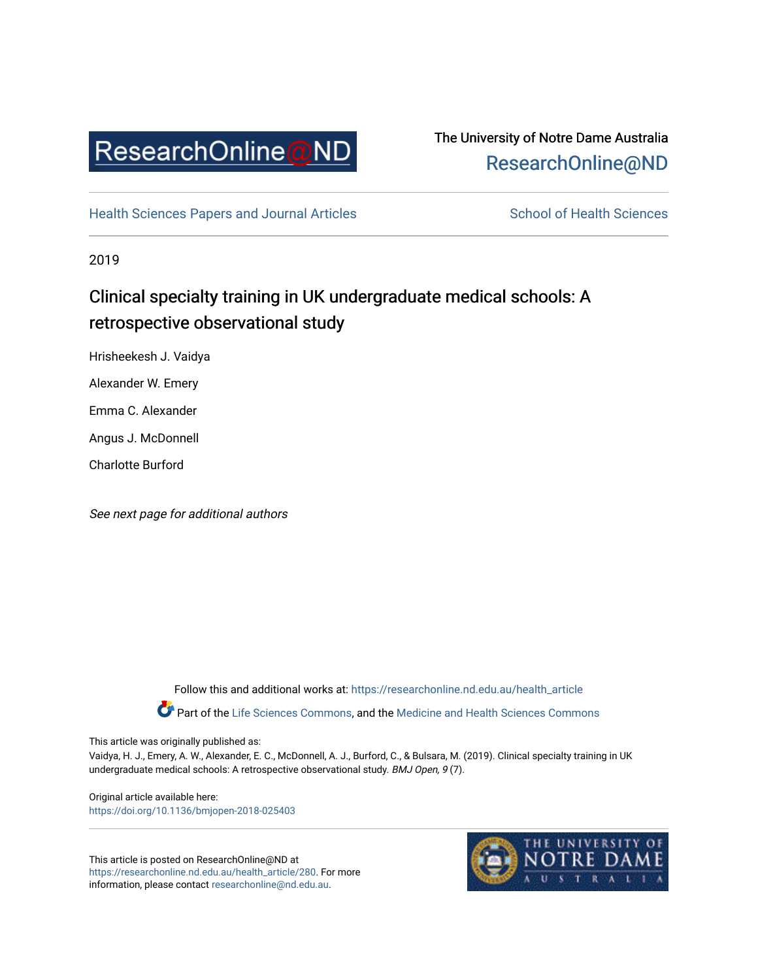

# The University of Notre Dame Australia [ResearchOnline@ND](https://researchonline.nd.edu.au/)

[Health Sciences Papers and Journal Articles](https://researchonline.nd.edu.au/health_article) School of Health Sciences

2019

# Clinical specialty training in UK undergraduate medical schools: A retrospective observational study

Hrisheekesh J. Vaidya

Alexander W. Emery

Emma C. Alexander

Angus J. McDonnell

Charlotte Burford

See next page for additional authors

Follow this and additional works at: [https://researchonline.nd.edu.au/health\\_article](https://researchonline.nd.edu.au/health_article?utm_source=researchonline.nd.edu.au%2Fhealth_article%2F280&utm_medium=PDF&utm_campaign=PDFCoverPages)

Part of the [Life Sciences Commons](http://network.bepress.com/hgg/discipline/1016?utm_source=researchonline.nd.edu.au%2Fhealth_article%2F280&utm_medium=PDF&utm_campaign=PDFCoverPages), and the Medicine and Health Sciences Commons

This article was originally published as:

Vaidya, H. J., Emery, A. W., Alexander, E. C., McDonnell, A. J., Burford, C., & Bulsara, M. (2019). Clinical specialty training in UK undergraduate medical schools: A retrospective observational study. BMJ Open, 9 (7).

Original article available here: <https://doi.org/10.1136/bmjopen-2018-025403>

This article is posted on ResearchOnline@ND at [https://researchonline.nd.edu.au/health\\_article/280](https://researchonline.nd.edu.au/health_article/280). For more information, please contact [researchonline@nd.edu.au.](mailto:researchonline@nd.edu.au)

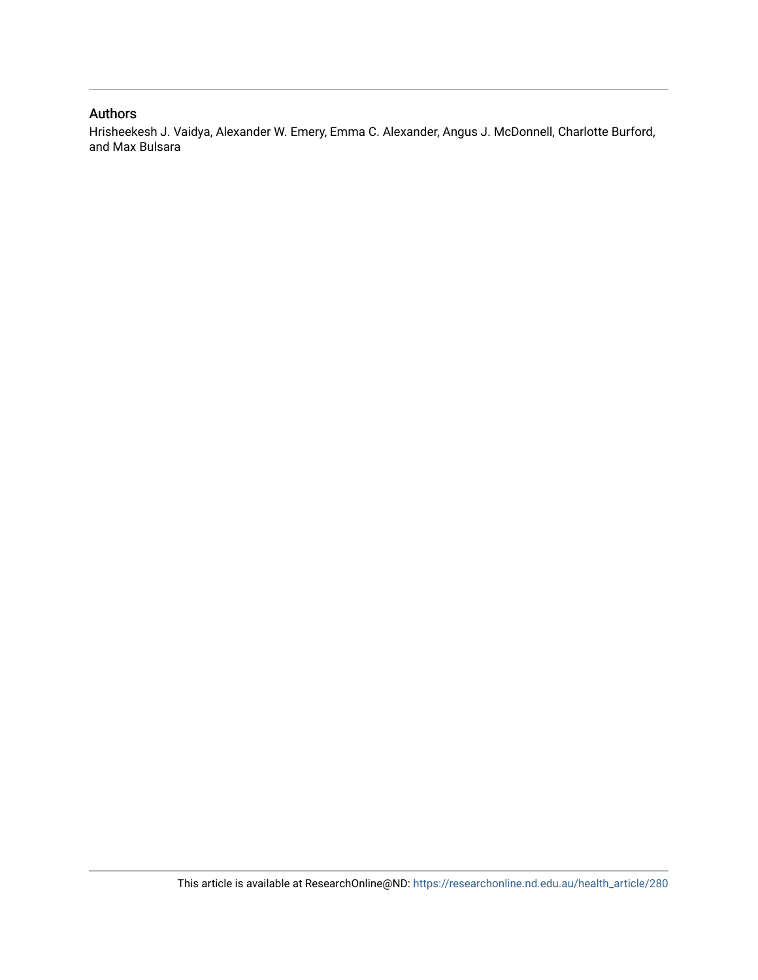# Authors

Hrisheekesh J. Vaidya, Alexander W. Emery, Emma C. Alexander, Angus J. McDonnell, Charlotte Burford, and Max Bulsara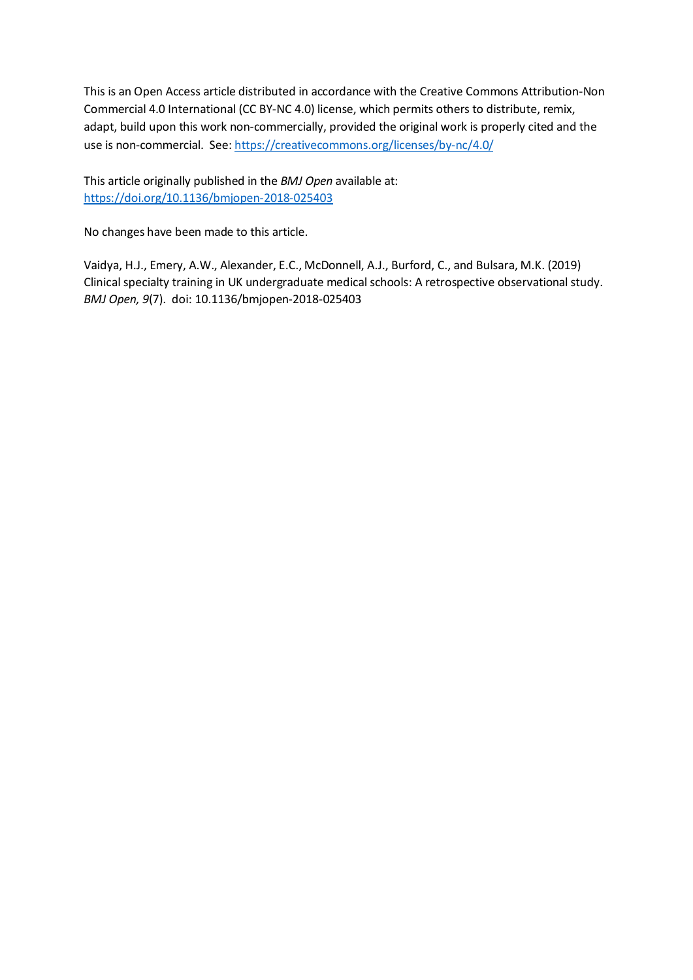This is an Open Access article distributed in accordance with the Creative Commons Attribution-Non Commercial 4.0 International (CC BY-NC 4.0) license, which permits others to distribute, remix, adapt, build upon this work non-commercially, provided the original work is properly cited and the use is non-commercial. See[: https://creativecommons.org/licenses/by-nc/4.0/](https://creativecommons.org/licenses/by-nc/4.0/)

This article originally published in the *BMJ Open* available at: https://doi.org/10.1136/bmjopen-2018-025403

No changes have been made to this article.

Vaidya, H.J., Emery, A.W., Alexander, E.C., McDonnell, A.J., Burford, C., and Bulsara, M.K. (2019) Clinical specialty training in UK undergraduate medical schools: A retrospective observational study. *BMJ Open, 9*(7). doi: 10.1136/bmjopen-2018-025403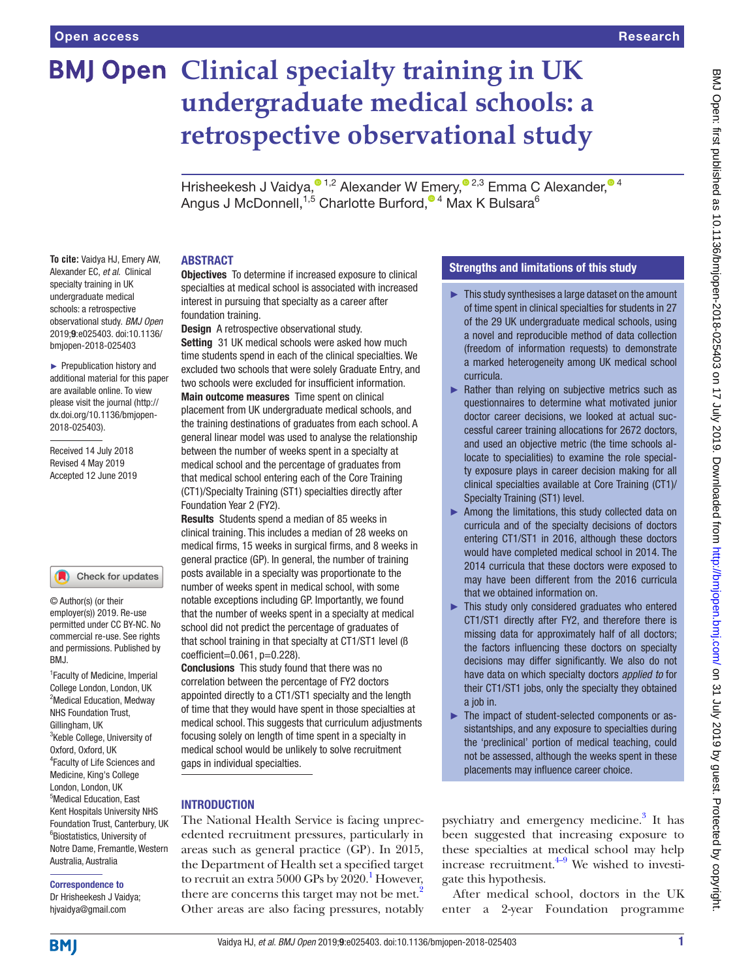# **BMJ Open Clinical specialty training in UK undergraduate medical schools: a retrospective observational study**

HrisheekeshJ Vaidya[,](http://orcid.org/0000-0001-7063-6846) <sup>01,2</sup> Alexander W Emery, <sup>02,3</sup> Emma C Alexander, <sup>04</sup> AngusJ McDonnell,<sup>1,5</sup> Charlotte Burford,<sup>® 4</sup> Max K Bulsara<sup>6</sup>

#### **ABSTRACT**

**To cite:** Vaidya HJ, Emery AW, Alexander EC, *et al*. Clinical specialty training in UK undergraduate medical schools: a retrospective observational study. *BMJ Open* 2019;9:e025403. doi:10.1136/ bmjopen-2018-025403

► Prepublication history and additional material for this paper are available online. To view please visit the journal (http:// dx.doi.org/10.1136/bmjopen-2018-025403).

Received 14 July 2018 Revised 4 May 2019 Accepted 12 June 2019

#### Check for updates

© Author(s) (or their employer(s)) 2019. Re-use permitted under CC BY-NC. No commercial re-use. See rights and permissions. Published by BMJ.

1 Faculty of Medicine, Imperial College London, London, UK <sup>2</sup>Medical Education, Medway NHS Foundation Trust, Gillingham, UK <sup>3</sup>Keble College, University of Oxford, Oxford, UK 4 Faculty of Life Sciences and Medicine, King's College London, London, UK 5 Medical Education, East Kent Hospitals University NHS Foundation Trust, Canterbury, UK 6 Biostatistics, University of Notre Dame, Fremantle, Western Australia, Australia

# Correspondence to

Dr Hrisheekesh J Vaidya; hjvaidya@gmail.com

**Objectives** To determine if increased exposure to clinical specialties at medical school is associated with increased interest in pursuing that specialty as a career after foundation training.

**Design** A retrospective observational study.

Setting 31 UK medical schools were asked how much time students spend in each of the clinical specialties. We excluded two schools that were solely Graduate Entry, and two schools were excluded for insufficient information.

Main outcome measures Time spent on clinical placement from UK undergraduate medical schools, and the training destinations of graduates from each school. A general linear model was used to analyse the relationship between the number of weeks spent in a specialty at medical school and the percentage of graduates from that medical school entering each of the Core Training (CT1)/Specialty Training (ST1) specialties directly after Foundation Year 2 (FY2).

Results Students spend a median of 85 weeks in clinical training. This includes a median of 28 weeks on medical firms, 15 weeks in surgical firms, and 8 weeks in general practice (GP). In general, the number of training posts available in a specialty was proportionate to the number of weeks spent in medical school, with some notable exceptions including GP. Importantly, we found that the number of weeks spent in a specialty at medical school did not predict the percentage of graduates of that school training in that specialty at CT1/ST1 level (ß coefficient=0.061, p=0.228).

Conclusions This study found that there was no correlation between the percentage of FY2 doctors appointed directly to a CT1/ST1 specialty and the length of time that they would have spent in those specialties at medical school. This suggests that curriculum adjustments focusing solely on length of time spent in a specialty in medical school would be unlikely to solve recruitment gaps in individual specialties.

# **INTRODUCTION**

The National Health Service is facing unprecedented recruitment pressures, particularly in areas such as general practice (GP). In 2015, the Department of Health set a specified target to recruit an extra  $5000$  GPs by  $2020$ .<sup>[1](#page-8-0)</sup> However, there are concerns this target may not be met.<sup>2</sup> Other areas are also facing pressures, notably

# Strengths and limitations of this study

- ► This study synthesises a large dataset on the amount of time spent in clinical specialties for students in 27 of the 29 UK undergraduate medical schools, using a novel and reproducible method of data collection (freedom of information requests) to demonstrate a marked heterogeneity among UK medical school curricula.
- ► Rather than relying on subjective metrics such as questionnaires to determine what motivated junior doctor career decisions, we looked at actual successful career training allocations for 2672 doctors, and used an objective metric (the time schools allocate to specialities) to examine the role specialty exposure plays in career decision making for all clinical specialties available at Core Training (CT1)/ Specialty Training (ST1) level.
- ► Among the limitations, this study collected data on curricula and of the specialty decisions of doctors entering CT1/ST1 in 2016, although these doctors would have completed medical school in 2014. The 2014 curricula that these doctors were exposed to may have been different from the 2016 curricula that we obtained information on.
- ► This study only considered graduates who entered CT1/ST1 directly after FY2, and therefore there is missing data for approximately half of all doctors; the factors influencing these doctors on specialty decisions may differ significantly. We also do not have data on which specialty doctors *applied to* for their CT1/ST1 jobs, only the specialty they obtained a job in.
- ► The impact of student-selected components or assistantships, and any exposure to specialties during the 'preclinical' portion of medical teaching, could not be assessed, although the weeks spent in these placements may influence career choice.

psychiatry and emergency medicine.<sup>3</sup> It has been suggested that increasing exposure to these specialties at medical school may help increase recruitment. $4-9$  We wished to investigate this hypothesis.

After medical school, doctors in the UK enter a 2-year Foundation programme

**BMI**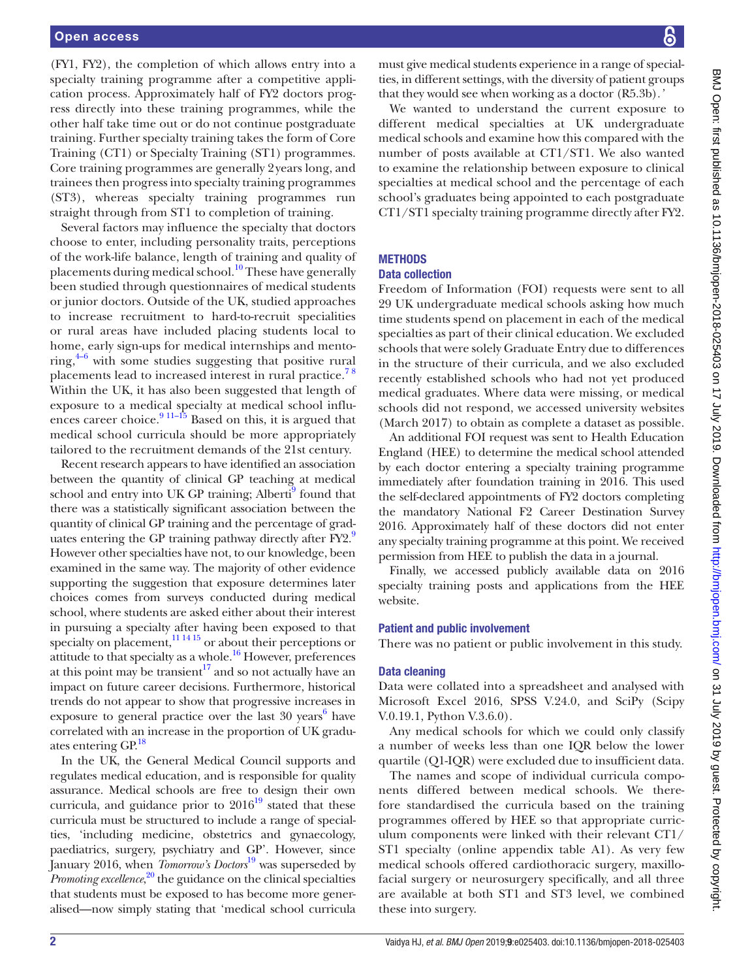(FY1, FY2), the completion of which allows entry into a specialty training programme after a competitive application process. Approximately half of FY2 doctors progress directly into these training programmes, while the other half take time out or do not continue postgraduate training. Further specialty training takes the form of Core Training (CT1) or Specialty Training (ST1) programmes. Core training programmes are generally 2years long, and trainees then progress into specialty training programmes (ST3), whereas specialty training programmes run straight through from ST1 to completion of training.

Several factors may influence the specialty that doctors choose to enter, including personality traits, perceptions of the work-life balance, length of training and quality of placements during medical school.<sup>10</sup> These have generally been studied through questionnaires of medical students or junior doctors. Outside of the UK, studied approaches to increase recruitment to hard-to-recruit specialities or rural areas have included placing students local to home, early sign-ups for medical internships and mentoring, $4-6$  with some studies suggesting that positive rural placements lead to increased interest in rural practice.<sup>78</sup> Within the UK, it has also been suggested that length of exposure to a medical specialty at medical school influences career choice. $9^{11-15}$  Based on this, it is argued that medical school curricula should be more appropriately tailored to the recruitment demands of the 21st century.

Recent research appears to have identified an association between the quantity of clinical GP teaching at medical school and entry into UK GP training; Alberti<sup>9</sup> found that there was a statistically significant association between the quantity of clinical GP training and the percentage of graduates entering the GP training pathway directly after FY2.<sup>9</sup> However other specialties have not, to our knowledge, been examined in the same way. The majority of other evidence supporting the suggestion that exposure determines later choices comes from surveys conducted during medical school, where students are asked either about their interest in pursuing a specialty after having been exposed to that specialty on placement, $\frac{111415}{111415}$  or about their perceptions or attitude to that specialty as a whole[.16](#page-8-8) However, preferences at this point may be transient<sup>17</sup> and so not actually have an impact on future career decisions. Furthermore, historical trends do not appear to show that progressive increases in exposure to general practice over the last  $30$  years<sup>[6](#page-8-10)</sup> have correlated with an increase in the proportion of UK gradu-ates entering GP.<sup>[18](#page-8-11)</sup>

In the UK, the General Medical Council supports and regulates medical education, and is responsible for quality assurance. Medical schools are free to design their own curricula, and guidance prior to  $2016^{19}$  stated that these curricula must be structured to include a range of specialties, 'including medicine, obstetrics and gynaecology, paediatrics, surgery, psychiatry and GP'. However, since January 2016, when *Tomorrow's Doctors*[19](#page-8-12) was superseded by Promoting excellence,<sup>[20](#page-8-13)</sup> the guidance on the clinical specialties that students must be exposed to has become more generalised—now simply stating that 'medical school curricula

must give medical students experience in a range of specialties, in different settings, with the diversity of patient groups that they would see when working as a doctor (R5.3b)*.'*

We wanted to understand the current exposure to different medical specialties at UK undergraduate medical schools and examine how this compared with the number of posts available at CT1/ST1. We also wanted to examine the relationship between exposure to clinical specialties at medical school and the percentage of each school's graduates being appointed to each postgraduate CT1/ST1 specialty training programme directly after FY2.

# **METHODS**

## Data collection

Freedom of Information (FOI) requests were sent to all 29 UK undergraduate medical schools asking how much time students spend on placement in each of the medical specialties as part of their clinical education. We excluded schools that were solely Graduate Entry due to differences in the structure of their curricula, and we also excluded recently established schools who had not yet produced medical graduates. Where data were missing, or medical schools did not respond, we accessed university websites (March 2017) to obtain as complete a dataset as possible.

An additional FOI request was sent to Health Education England (HEE) to determine the medical school attended by each doctor entering a specialty training programme immediately after foundation training in 2016. This used the self-declared appointments of FY2 doctors completing the mandatory National F2 Career Destination Survey 2016. Approximately half of these doctors did not enter any specialty training programme at this point. We received permission from HEE to publish the data in a journal.

Finally, we accessed publicly available data on 2016 specialty training posts and applications from the HEE website.

# Patient and public involvement

There was no patient or public involvement in this study.

# Data cleaning

Data were collated into a spreadsheet and analysed with Microsoft Excel 2016, SPSS V.24.0, and SciPy (Scipy V.0.19.1, Python V.3.6.0).

Any medical schools for which we could only classify a number of weeks less than one IQR below the lower quartile (Q1-IQR) were excluded due to insufficient data.

The names and scope of individual curricula components differed between medical schools. We therefore standardised the curricula based on the training programmes offered by HEE so that appropriate curriculum components were linked with their relevant CT1/ ST1 specialty (online [appendix table A1](https://dx.doi.org/10.1136/bmjopen-2018-025403)). As very few medical schools offered cardiothoracic surgery, maxillofacial surgery or neurosurgery specifically, and all three are available at both ST1 and ST3 level, we combined these into surgery.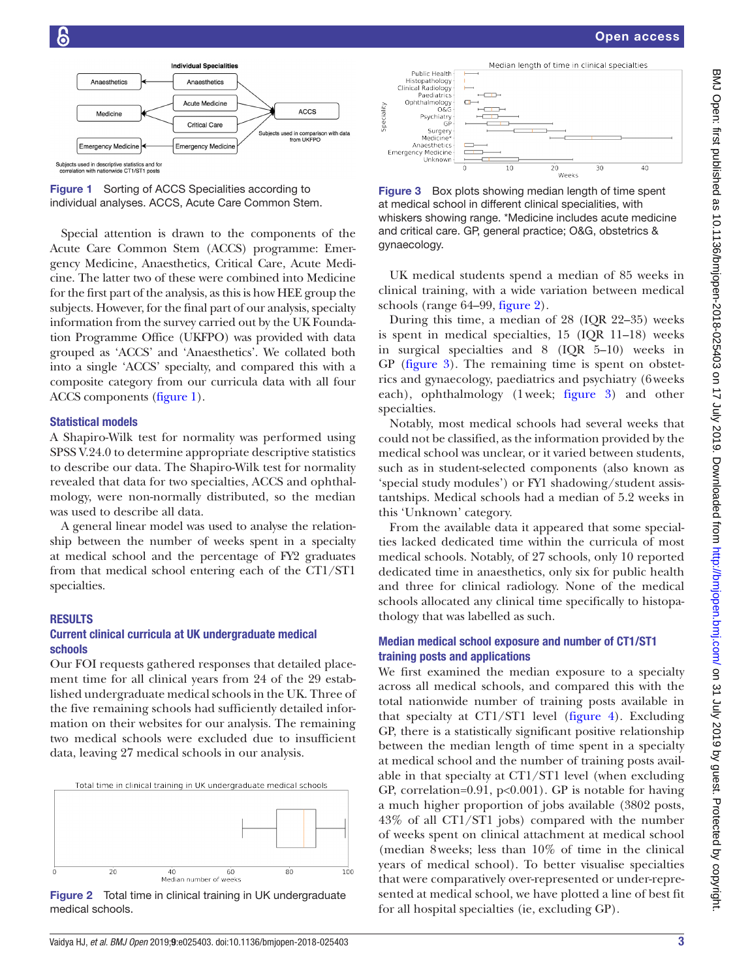

<span id="page-5-0"></span>

Special attention is drawn to the components of the Acute Care Common Stem (ACCS) programme: Emergency Medicine, Anaesthetics, Critical Care, Acute Medicine. The latter two of these were combined into Medicine for the first part of the analysis, as this is how HEE group the subjects. However, for the final part of our analysis, specialty information from the survey carried out by the UK Foundation Programme Office (UKFPO) was provided with data grouped as 'ACCS' and 'Anaesthetics'. We collated both into a single 'ACCS' specialty, and compared this with a composite category from our curricula data with all four ACCS components [\(figure](#page-5-0) 1).

#### Statistical models

A Shapiro-Wilk test for normality was performed using SPSS V.24.0 to determine appropriate descriptive statistics to describe our data. The Shapiro-Wilk test for normality revealed that data for two specialties, ACCS and ophthalmology, were non-normally distributed, so the median was used to describe all data.

A general linear model was used to analyse the relationship between the number of weeks spent in a specialty at medical school and the percentage of FY2 graduates from that medical school entering each of the CT1/ST1 specialties.

### **RESULTS**

## Current clinical curricula at UK undergraduate medical schools

Our FOI requests gathered responses that detailed placement time for all clinical years from 24 of the 29 established undergraduate medical schools in the UK. Three of the five remaining schools had sufficiently detailed information on their websites for our analysis. The remaining two medical schools were excluded due to insufficient data, leaving 27 medical schools in our analysis.



<span id="page-5-1"></span>Figure 2 Total time in clinical training in UK undergraduate medical schools.



<span id="page-5-2"></span>Figure 3 Box plots showing median length of time spent at medical school in different clinical specialities, with whiskers showing range. \*Medicine includes acute medicine and critical care. GP, general practice; O&G, obstetrics & gynaecology.

UK medical students spend a median of 85 weeks in clinical training, with a wide variation between medical schools (range 64–99, [figure](#page-5-1) 2).

During this time, a median of 28 (IQR 22–35) weeks is spent in medical specialties, 15 (IQR 11–18) weeks in surgical specialties and 8 (IQR 5–10) weeks in GP ([figure](#page-5-2) 3). The remaining time is spent on obstetrics and gynaecology, paediatrics and psychiatry (6weeks each), ophthalmology (1week; [figure](#page-5-2) 3) and other specialties.

Notably, most medical schools had several weeks that could not be classified, as the information provided by the medical school was unclear, or it varied between students, such as in student-selected components (also known as 'special study modules') or FY1 shadowing/student assistantships. Medical schools had a median of 5.2 weeks in this 'Unknown' category.

From the available data it appeared that some specialties lacked dedicated time within the curricula of most medical schools. Notably, of 27 schools, only 10 reported dedicated time in anaesthetics, only six for public health and three for clinical radiology. None of the medical schools allocated any clinical time specifically to histopathology that was labelled as such.

## Median medical school exposure and number of CT1/ST1 training posts and applications

We first examined the median exposure to a specialty across all medical schools, and compared this with the total nationwide number of training posts available in that specialty at CT1/ST1 level [\(figure](#page-6-0) 4). Excluding GP, there is a statistically significant positive relationship between the median length of time spent in a specialty at medical school and the number of training posts available in that specialty at CT1/ST1 level (when excluding GP, correlation=0.91,  $p<0.001$ ). GP is notable for having a much higher proportion of jobs available (3802 posts, 43% of all CT1/ST1 jobs) compared with the number of weeks spent on clinical attachment at medical school (median 8weeks; less than 10% of time in the clinical years of medical school). To better visualise specialties that were comparatively over-represented or under-represented at medical school, we have plotted a line of best fit for all hospital specialties (ie, excluding GP).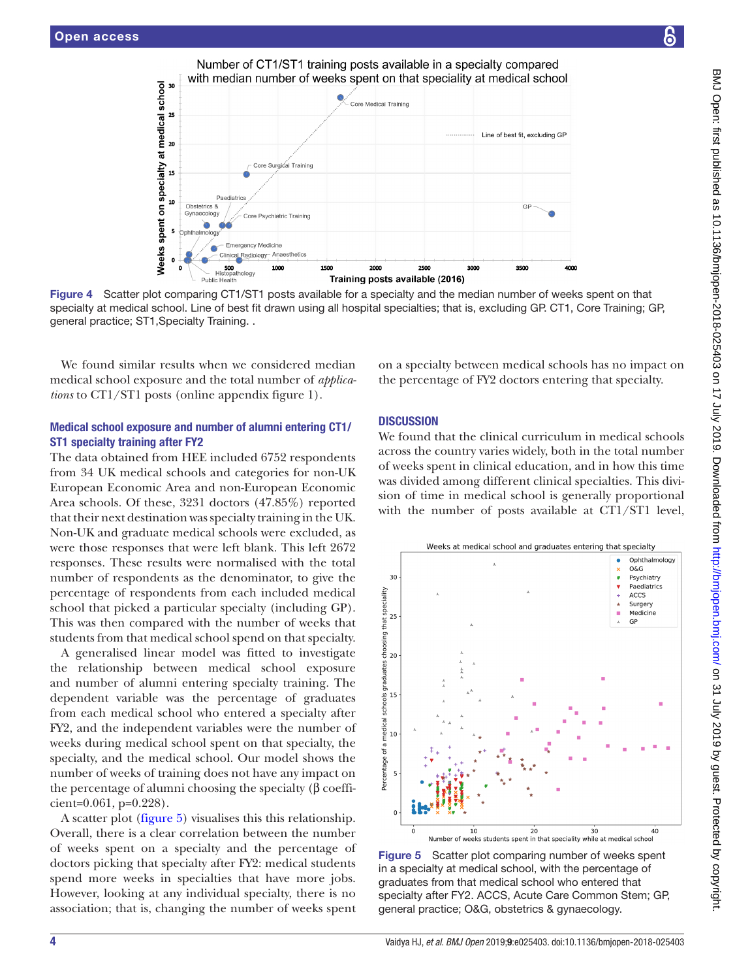on specialty at medical school

Weeks spent

 $\overline{25}$ 

 $\overline{a}$ 

 $\overline{15}$ 

10

5

<span id="page-6-0"></span> $\mathbf{o}$ 



Number of CT1/ST1 training posts available in a specialty compared

# Medical school exposure and number of alumni entering CT1/ ST1 specialty training after FY2

The data obtained from HEE included 6752 respondents from 34 UK medical schools and categories for non-UK European Economic Area and non-European Economic Area schools. Of these, 3231 doctors (47.85%) reported that their next destination was specialty training in the UK. Non-UK and graduate medical schools were excluded, as were those responses that were left blank. This left 2672 responses. These results were normalised with the total number of respondents as the denominator, to give the percentage of respondents from each included medical school that picked a particular specialty (including GP). This was then compared with the number of weeks that students from that medical school spend on that specialty.

A generalised linear model was fitted to investigate the relationship between medical school exposure and number of alumni entering specialty training. The dependent variable was the percentage of graduates from each medical school who entered a specialty after FY2, and the independent variables were the number of weeks during medical school spent on that specialty, the specialty, and the medical school. Our model shows the number of weeks of training does not have any impact on the percentage of alumni choosing the specialty (β coeffi $cient=0.061, p=0.228$ .

A scatter plot [\(figure](#page-6-1) 5) visualises this this relationship. Overall, there is a clear correlation between the number of weeks spent on a specialty and the percentage of doctors picking that specialty after FY2: medical students spend more weeks in specialties that have more jobs. However, looking at any individual specialty, there is no association; that is, changing the number of weeks spent

on a specialty between medical schools has no impact on the percentage of FY2 doctors entering that specialty.

#### **DISCUSSION**

We found that the clinical curriculum in medical schools across the country varies widely, both in the total number of weeks spent in clinical education, and in how this time was divided among different clinical specialties. This division of time in medical school is generally proportional with the number of posts available at CT1/ST1 level,



<span id="page-6-1"></span>Figure 5 Scatter plot comparing number of weeks spent in a specialty at medical school, with the percentage of graduates from that medical school who entered that specialty after FY2. ACCS, Acute Care Common Stem; GP, general practice; O&G, obstetrics & gynaecology.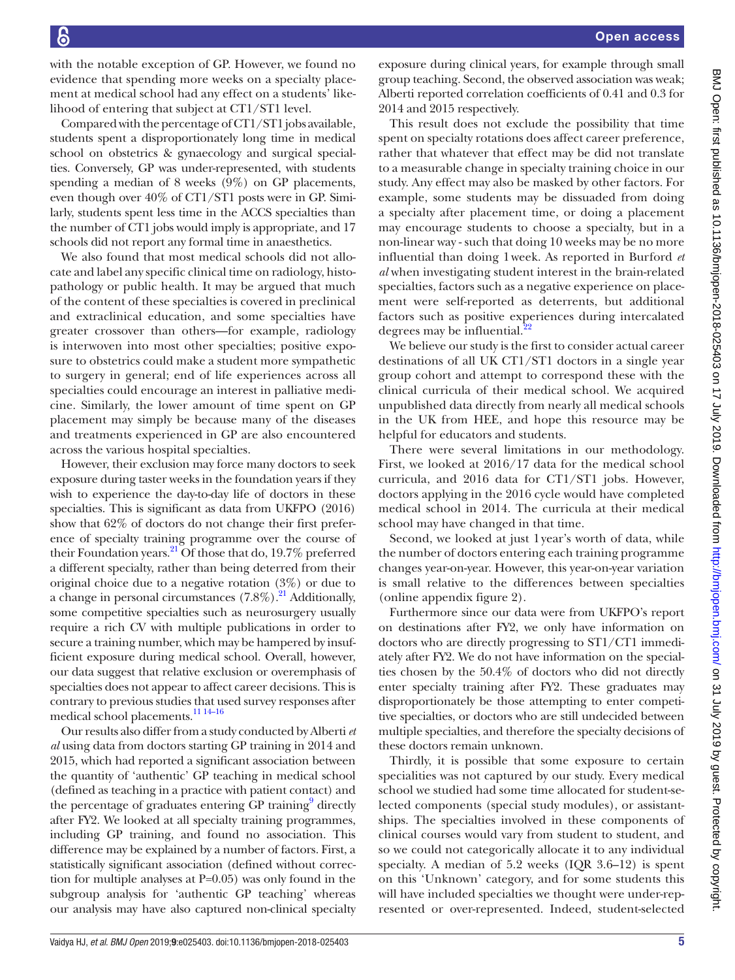with the notable exception of GP. However, we found no evidence that spending more weeks on a specialty placement at medical school had any effect on a students' likelihood of entering that subject at CT1/ST1 level.

Compared with the percentage of CT1/ST1 jobs available, students spent a disproportionately long time in medical school on obstetrics & gynaecology and surgical specialties. Conversely, GP was under-represented, with students spending a median of 8 weeks (9%) on GP placements, even though over 40% of CT1/ST1 posts were in GP. Similarly, students spent less time in the ACCS specialties than the number of CT1 jobs would imply is appropriate, and 17 schools did not report any formal time in anaesthetics.

We also found that most medical schools did not allocate and label any specific clinical time on radiology, histopathology or public health. It may be argued that much of the content of these specialties is covered in preclinical and extraclinical education, and some specialties have greater crossover than others—for example, radiology is interwoven into most other specialties; positive exposure to obstetrics could make a student more sympathetic to surgery in general; end of life experiences across all specialties could encourage an interest in palliative medicine. Similarly, the lower amount of time spent on GP placement may simply be because many of the diseases and treatments experienced in GP are also encountered across the various hospital specialties.

However, their exclusion may force many doctors to seek exposure during taster weeks in the foundation years if they wish to experience the day-to-day life of doctors in these specialties. This is significant as data from UKFPO (2016) show that 62% of doctors do not change their first preference of specialty training programme over the course of their Foundation years. $^{21}$  Of those that do, 19.7% preferred a different specialty, rather than being deterred from their original choice due to a negative rotation (3%) or due to a change in personal circumstances  $(7.8\%)$ .<sup>[21](#page-8-14)</sup> Additionally, some competitive specialties such as neurosurgery usually require a rich CV with multiple publications in order to secure a training number, which may be hampered by insufficient exposure during medical school. Overall, however, our data suggest that relative exclusion or overemphasis of specialties does not appear to affect career decisions. This is contrary to previous studies that used survey responses after medical school placements[.11 14–16](#page-8-7)

Our results also differ from a study conducted by Alberti *et al* using data from doctors starting GP training in 2014 and 2015, which had reported a significant association between the quantity of 'authentic' GP teaching in medical school (defined as teaching in a practice with patient contact) and the percentage of graduates entering GP training<sup>[9](#page-8-6)</sup> directly after FY2. We looked at all specialty training programmes, including GP training, and found no association. This difference may be explained by a number of factors. First, a statistically significant association (defined without correction for multiple analyses at P=0.05) was only found in the subgroup analysis for 'authentic GP teaching' whereas our analysis may have also captured non-clinical specialty

exposure during clinical years, for example through small group teaching. Second, the observed association was weak; Alberti reported correlation coefficients of 0.41 and 0.3 for 2014 and 2015 respectively.

This result does not exclude the possibility that time spent on specialty rotations does affect career preference, rather that whatever that effect may be did not translate to a measurable change in specialty training choice in our study. Any effect may also be masked by other factors. For example, some students may be dissuaded from doing a specialty after placement time, or doing a placement may encourage students to choose a specialty, but in a non-linear way - such that doing 10 weeks may be no more influential than doing 1week. As reported in Burford *et al* when investigating student interest in the brain-related specialties, factors such as a negative experience on placement were self-reported as deterrents, but additional factors such as positive experiences during intercalated degrees may be influential.<sup>22</sup>

We believe our study is the first to consider actual career destinations of all UK CT1/ST1 doctors in a single year group cohort and attempt to correspond these with the clinical curricula of their medical school. We acquired unpublished data directly from nearly all medical schools in the UK from HEE, and hope this resource may be helpful for educators and students.

There were several limitations in our methodology. First, we looked at 2016/17 data for the medical school curricula, and 2016 data for CT1/ST1 jobs. However, doctors applying in the 2016 cycle would have completed medical school in 2014. The curricula at their medical school may have changed in that time.

Second, we looked at just 1year's worth of data, while the number of doctors entering each training programme changes year-on-year. However, this year-on-year variation is small relative to the differences between specialties (online [appendix figure 2\)](https://dx.doi.org/10.1136/bmjopen-2018-025403).

Furthermore since our data were from UKFPO's report on destinations after FY2, we only have information on doctors who are directly progressing to ST1/CT1 immediately after FY2. We do not have information on the specialties chosen by the 50.4% of doctors who did not directly enter specialty training after FY2. These graduates may disproportionately be those attempting to enter competitive specialties, or doctors who are still undecided between multiple specialties, and therefore the specialty decisions of these doctors remain unknown.

Thirdly, it is possible that some exposure to certain specialities was not captured by our study. Every medical school we studied had some time allocated for student-selected components (special study modules), or assistantships. The specialties involved in these components of clinical courses would vary from student to student, and so we could not categorically allocate it to any individual specialty. A median of 5.2 weeks (IQR 3.6–12) is spent on this 'Unknown' category, and for some students this will have included specialties we thought were under-represented or over-represented. Indeed, student-selected